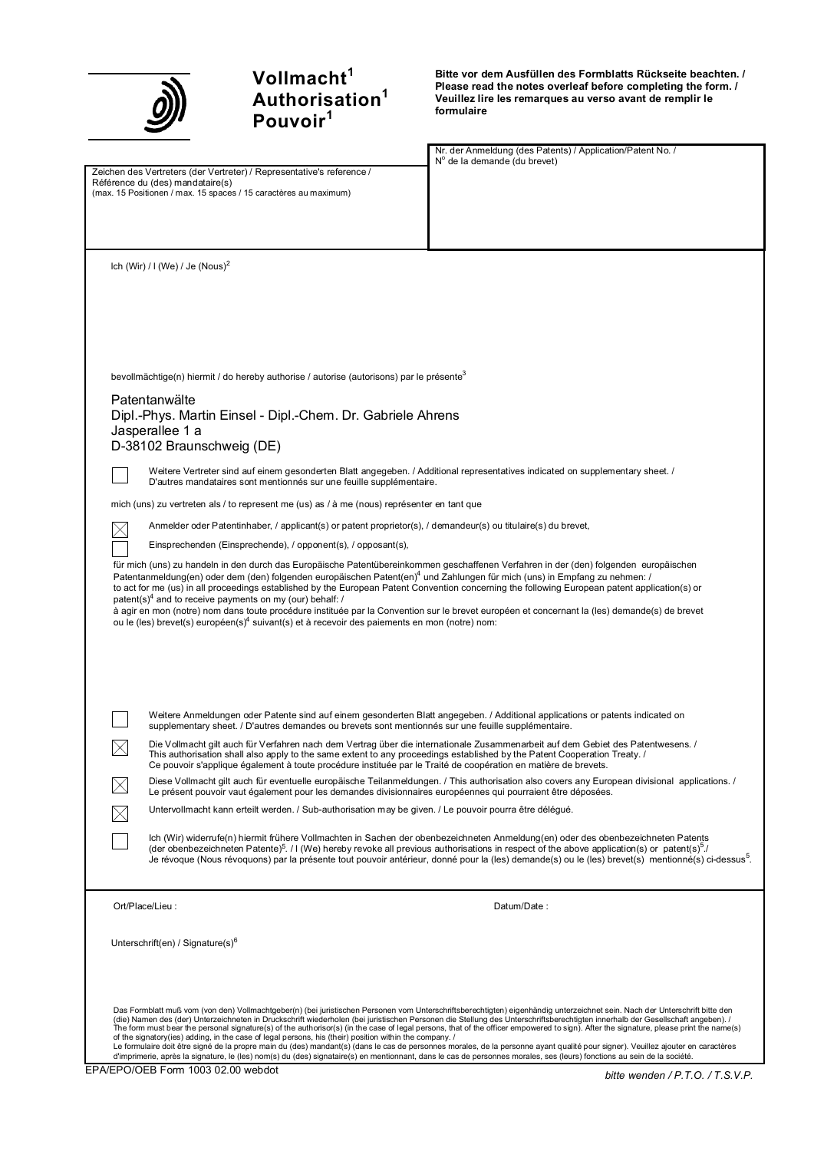

# **Vollmacht<sup>1</sup> Authorisation<sup>1</sup> Pouvoir<sup>1</sup>**

**Bitte vor dem Ausfüllen des Formblatts Rückseite beachten. / Please read the notes overleaf before completing the form. / Veuillez lire les remarques au verso avant de remplir le formulaire**

Nr. der Anmeldung (des Patents) / Application/Patent No. / Nº de la demande (du brevet)

Zeichen des Vertreters (der Vertreter) / Representative's reference / Référence du (des) mandataire(s) (max. 15 Positionen / max. 15 spaces / 15 caractères au maximum)

lch (Wir) / I (We) / Je  $($ Nous $)$ <sup>2</sup>

bevollmächtige(n) hiermit / do hereby authorise / autorise (autorisons) par le présente<sup>3</sup>

## Patentanwälte

 $\times$ 

 $\bowtie$ 

 $\boxtimes$ 

 $\boxtimes$ 

Dipl.-Phys. Martin Einsel - Dipl.-Chem. Dr. Gabriele Ahrens Jasperallee 1 a D-38102 Braunschweig (DE)

Weitere Vertreter sind auf einem gesonderten Blatt angegeben. / Additional representatives indicated on supplementary sheet. / D'autres mandataires sont mentionnés sur une feuille supplémentaire.

mich (uns) zu vertreten als / to represent me (us) as / à me (nous) représenter en tant que

Anmelder oder Patentinhaber, / applicant(s) or patent proprietor(s), / demandeur(s) ou titulaire(s) du brevet,

Einsprechenden (Einsprechende), / opponent(s), / opposant(s),

für mich (uns) zu handeln in den durch das Europäische Patentübereinkommen geschaffenen Verfahren in der (den) folgenden europäischen Patentanmeldung(en) oder dem (den) folgenden europäischen Patent(en)<sup>4</sup> und Zahlungen für mich (uns) in Empfang zu nehmen: / to act for me (us) in all proceedings established by the European Patent Convention concerning the following European patent application(s) or patent(s)<sup>4</sup> and to receive payments on my (our) behalf: / à agir en mon (notre) nom dans toute procédure instituée par la Convention sur le brevet européen et concernant la (les) demande(s) de brevet ou le (les) brevet(s) européen(s)<sup>4</sup> suivant(s) et à recevoir des paiements en mon (notre) nom:

Weitere Anmeldungen oder Patente sind auf einem gesonderten Blatt angegeben. / Additional applications or patents indicated on supplementary sheet. / D'autres demandes ou brevets sont mentionnés sur une feuille supplémentaire.

Die Vollmacht gilt auch für Verfahren nach dem Vertrag über die internationale Zusammenarbeit auf dem Gebiet des Patentwesens. / This authorisation shall also apply to the same extent to any proceedings established by the Patent Cooperation Treaty. / Ce pouvoir s'applique également à toute procédure instituée par le Traité de coopération en matière de brevets.

Diese Vollmacht gilt auch für eventuelle europäische Teilanmeldungen. / This authorisation also covers any European divisional applications. / Le présent pouvoir vaut également pour les demandes divisionnaires européennes qui pourraient être déposées.

Untervollmacht kann erteilt werden. / Sub-authorisation may be given. / Le pouvoir pourra être délégué.

lch (Wir) widerrufe(n) hiermit frühere Vollmachten in Sachen der obenbezeichneten Anmeldung(en) oder des obenbezeichneten Patents<br>(der obenbezeichneten Patente)<sup>5</sup>. / I (We) hereby revoke all previous authorisations in res Je révoque (Nous révoquons) par la présente tout pouvoir antérieur, donné pour la (les) demande(s) ou le (les) brevet(s) mentionné(s) ci-dessus<sup>5</sup> .

Ort/Place/Lieu : Datum/Date : Datum/Date : Datum/Date :

Unterschrift(en) / Signature(s)<sup>6</sup>

Das Formblatt muß vom (von den) Vollmachtgeber(n) (bei juristischen Personen vom Unterschriftsberechtigten) eigenhändig unterzeichnet sein. Nach der Unterschrift bitte den (die) Namen des (der) Unterzeichneten in Druckschrift wiederholen (bei juristischen Personen die Stellung des Unterschriftsberechtigten innerhalb der Gesellschaft angeben). /<br>The form must bear the personal signature(s) of

of the signatory(ies) adding, in the case of legal persons, his (their) position within the company. /<br>Le formulaire doit être signé de la propre main ou (des) mandant(s) (dans le cas de personnes mors are mainted<br>d'imprim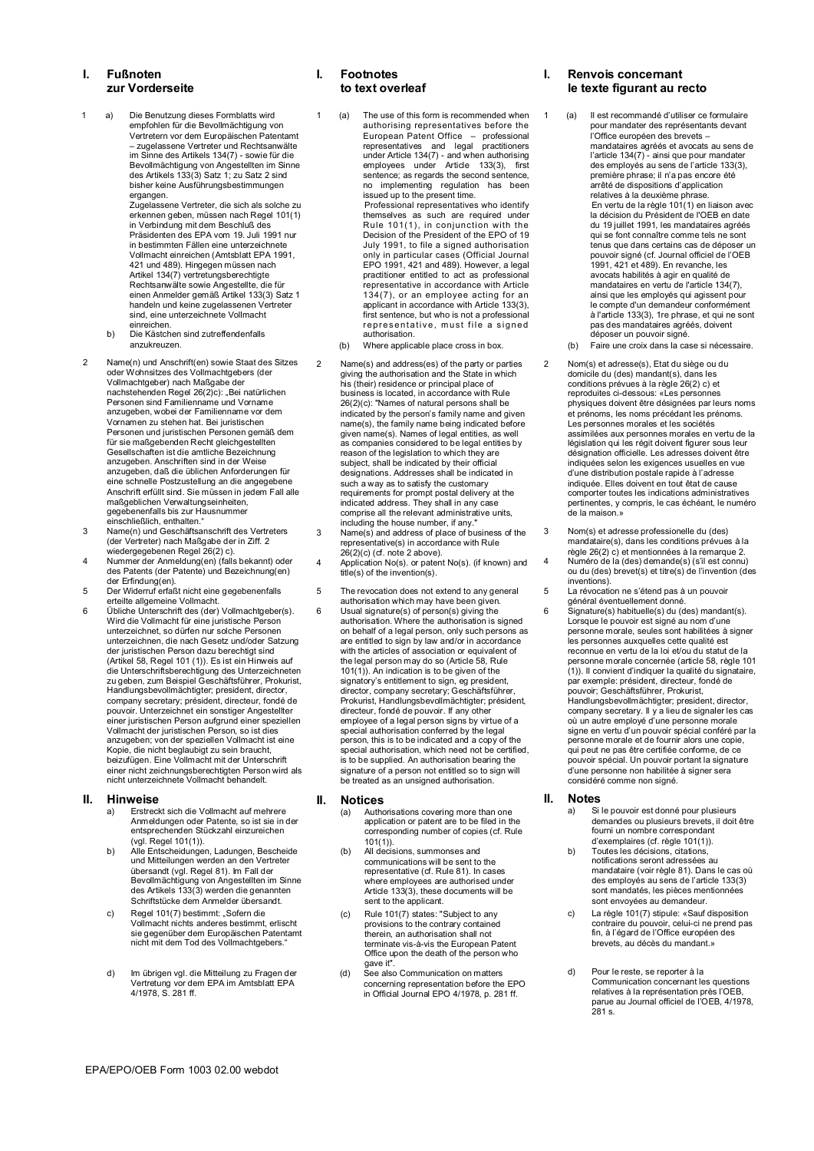## **I. Fußnoten zur Vorderseite**

- 1 a) Die Benutzung dieses Formblatts wird empfohlen für die Bevollmächtigung von Vertretern vor dem Europäischen Patentamt – zugelassene Vertreter und Rechtsanwälte im Sinne des Artikels 134(7) - sowie für die Bevollmächtigung von Angestellten im Sinne des Artikels 133(3) Satz 1; zu Satz 2 sind bisher keine Ausführungsbestimmungen ergangen. Zugelassene Vertreter, die sich als solche zu erkennen geben, müssen nach Regel 101(1) in Verbindung mit dem Beschluß des Präsidenten des EPA vom 19. Juli 1991 nur in bestimmten Fällen eine unterzeichnete Vollmacht einreichen (Amtsblatt EPA 1991, 421 und 489). Hingegen müssen nach Artikel 134(7) vertretungsberechtigte Rechtsanwälte sowie Angestellte, die für einen Anmelder gemäß Artikel 133(3) Satz 1 handeln und keine zugelassenen Vertreter sind, eine unterzeichnete Vollmacht
	- einreichen. b) Die Kästchen sind zutreffendenfalls anzukreuzen.
- 2 Name(n) und Anschrift(en) sowie Staat des Sitzes oder Wohnsitzes des Vollmachtgebers (der Vollmachtgeber) nach Maßgabe der<br>nachstehenden Regel 26(2)c): "Bei natürlichen<br>Personen sind Familienname und Vorname<br>anzugeben, wobei der Familienname vor dem Vornamen zu stehen hat. Bei juristischen Personen und juristischen Personen gemäß dem für sie maßgebenden Recht gleichgestellten Gesellschaften ist die amtliche Bezeichnung anzugeben. Anschriften sind in der Weise anzugeben, daß die üblichen Anforderungen für eine schnelle Postzustellung an die angegebene Anschrift erfüllt sind. Sie müssen in jedem Fall alle maßgeblichen Verwaltungseinheiten, gegebenenfalls bis zur Hausnummer
- einschließlich, enthalten." 3 Name(n) und Geschäftsanschrift des Vertreters (der Vertreter) nach Maßgabe der in Ziff. 2
- wiedergegebenen Regel 26(2) c). 4 Nummer der Anmeldung(en) (falls bekannt) oder des Patents (der Patente) und Bezeichnung(en)
- der Erfindung(en). 5 Der Widerruf erfaßt nicht eine gegebenenfalls
- erteilte allgemeine Vollmacht. 6 Übliche Unterschrift des (der) Vollmachtgeber(s). Wird die Vollmacht für eine juristische Person unterzeichnet, so dürfen nur solche Personen unterzeichnen, die nach Gesetz und/oder Satzung der juristischen Person dazu berechtigt sind (Artikel 58, Regel 101 (1)). Es ist ein Hinweis auf die Unterschriftsberechtigung des Unterzeichneten zu geben, zum Beispiel Geschäftsführer, Prokurist, Handlungsbevollmächtigter; president, director, company secretary; président, directeur, fondé de pouvoir. Unterzeichnet ein sonstiger Angestellter einer juristischen Person aufgrund einer speziellen Vollmacht der juristischen Person, so ist dies anzugeben; von der speziellen Vollmacht ist eine Kopie, die nicht beglaubigt zu sein braucht, beizufügen. Eine Vollmacht mit der Unterschrift einer nicht zeichnungsberechtigten Person wird als nicht unterzeichnete Vollmacht behandelt.

#### **II. Hinweise**

- a) Erstreckt sich die Vollmacht auf mehrere Anmeldungen oder Patente, so ist sie in der entsprechenden Stückzahl einzureichen
- (vgl. Regel 101(1)). b) Alle Entscheidungen, Ladungen, Bescheide und Mitteilungen werden an den Vertreter übersandt (vgl. Regel 81). Im Fall der Bevollmächtigung von Angestellten im Sinne des Artikels 133(3) werden die genannten Schriftstücke dem Anmelder übersandt.
- c) Regel 101(7) bestimmt: "Sofern die Vollmacht nichts anderes bestimmt, erlischt sie gegenüber dem Europäischen Patentamt nicht mit dem Tod des Vollmachtgebers."
- d) Im übrigen vgl. die Mitteilung zu Fragen der Vertretung vor dem EPA im Amtsblatt EPA 4/1978, S. 281 ff.

### **I. Footnotes to text overleaf**

- 1 (a) The use of this form is recommended when authorising representatives before the European Patent Office  $-$  professional<br>representatives and legal practitioners<br>under Article 134(7) - and when authorising<br>employees under Article 133(3), first<br>sentence; as regards the second sentence,<br>no implementing r Professional representatives who identify themselves as such are required under Rule 101(1), in conjunction with the Decision of the President of the EPO of 19 July 1991, to file a signed authorisation only in particular cases (Official Journal EPO 1991, 421 and 489). However, a legal practitioner entitled to act as professional representative in accordance with Article
	- 134(7), or an employee acting for an applicant in accordance with Article 133(3), first sentence, but who is not a professional representative, must file a signed authorisation.
	- (b) Where applicable place cross in box.
- 2 Name(s) and address(es) of the party or parties giving the authorisation and the State in which his (their) residence or principal place of business is located, in accordance with Rule 26(2)(c): "Names of natural persons shall be indicated by the person's family name and given name(s), the family name being indicated before given name(s). Names of legal entities, as well as companies considered to be legal entities by reason of the legislation to which they are subject, shall be indicated by their official designations. Addresses shall be indicated in such a way as to satisfy the customary requirements for prompt postal delivery at the indicated address. They shall in any case comprise all the relevant administrative units, including the house number, if any."
- 3 Name(s) and address of place of business of the representative(s) in accordance with Rule 26(2)(c) (cf. note 2 above). 4 Application No(s). or patent No(s). (if known) and
- title(s) of the invention(s).
- 5 The revocation does not extend to any general authorisation which may have been given. 6 Usual signature(s) of person(s) giving the
- authorisation. Where the authorisation is signed on behalf of a legal person, only such persons as are entitled to sign by law and/or in accordance with the articles of association or equivalent of the legal person may do so (Article 58, Rule 101(1)). An indication is to be given of the signatory's entitlement to sign, eg president, director, company secretary; Geschäftsführer, Prokurist, Handlungsbevollmächtigter; président, directeur, fondé de pouvoir. If any other employee of a legal person signs by virtue of a special authorisation conferred by the legal person, this is to be indicated and a copy of the special authorisation, which need not be certified, is to be supplied. An authorisation bearing the signature of a person not entitled so to sign will be treated as an unsigned authorisation.

# **II. Notices**

- (a) Authorisations covering more than one application or patent are to be filed in the corresponding number of copies (cf. Rule  $101(1)$
- (b) All decisions, summonses and communications will be sent to the representative (cf. Rule 81). In cases where employees are authorised under Article 133(3), these documents will be sent to the applicant.
- (c) Rule 101(7) states: "Subject to any provisions to the contrary contained therein, an authorisation shall not terminate vis-à-vis the European Patent Office upon the death of the person who gave it".
- See also Communication on matters concerning representation before the EPO in Official Journal EPO 4/1978, p. 281 ff.

## **I. Renvois concernant le texte figurant au recto**

- 1 (a) Il est recommandé d'utiliser ce formulaire pour mandater des représentants devant l'Office européen des brevets – mandataires agréés et avocats au sens de l'article 134(7) - ainsi que pour mandater des employés au sens de l'article 133(3), première phrase; il n'a pas encore été arrêté de dispositions d'application relatives à la deuxième phrase. En vertu de la règle 101(1) en liaison avec la décision du Président de l'OEB en date du 19 juillet 1991, les mandataires agréés qui se font connaître comme tels ne sont tenus que dans certains cas de déposer un pouvoir signé (cf. Journal officiel de l'OEB 1991, 421 et 489). En revanche, les avocats habilités à agir en qualité de mandataires en vertu de l'article 134(7), ainsi que les employés qui agissent pour le compte d'un demandeur conformément à l'article 133(3), 1re phrase, et qui ne sont pas des mandataires agréés, doivent déposer un pouvoir signé.
	- (b) Faire une croix dans la case si nécessaire.
- 2 Nom(s) et adresse(s), Etat du siège ou du domicile du (des) mandant(s), dans les conditions prévues à la règle 26(2) c) et reproduites ci-dessous: «Les personnes physiques doivent être désignées par leurs noms et prénoms, les noms précédant les prénoms. Les personnes morales et les sociétés assimilées aux personnes morales en vertu de la législation qui les régit doivent figurer sous leur désignation officielle. Les adresses doivent être indiquées selon les exigences usuelles en vue d'une distribution postale rapide à l'adresse indiquée. Elles doivent en tout êtat de cause comporter toutes les indications administratives pertinentes, y compris, le cas échéant, le numéro de la maison.»
- 3 Nom(s) et adresse professionelle du (des) mandataire(s), dans les conditions prévues à la règle 26(2) c) et mentionnées à la remarque 2. 4 Numéro de la (des) demande(s) (s'il est connu) ou du (des) brevet(s) et titre(s) de l'invention (des inventions).
- 5 La révocation ne s'étend pas à un pouvoir
- général éventuellement donné. 6 Signature(s) habituelle(s) du (des) mandant(s). Lorsque le pouvoir est signé au nom d'une personne morale, seules sont habilitées à signer les personnes auxquelles cette qualité est reconnue en vertu de la loi et/ou du statut de la personne morale concernée (article 58, règle 101 (1)). Il convient d'indiquer la qualité du signataire, par exemple: président, directeur, fondé de pouvoir; Geschäftsführer, Prokurist, Handlungsbevollmächtigter; president, director, company secretary. Il y a lieu de signaler les cas où un autre employé d'une personne morale signe en vertu d'un pouvoir spécial conféré par la personne morale et de fournir alors une copie, qui peut ne pas être certifiée conforme, de ce pouvoir spécial. Un pouvoir portant la signature d'une personne non habilitée à signer sera considéré comme non signé.

## **II. Notes**

- a) Si le pouvoir est donné pour plusieurs demandes ou plusieurs brevets, il doit être
- fourni un nombre correspondant d'exemplaires (cf. règle 101(1)). b) Toutes les décisions, citations, notifications seront adressées au mandataire (voir règle 81). Dans le cas où des employés au sens de l'article 133(3) sont mandatés, les pièces mentionnées sont envoyées au demandeur.
- c) La règle 101(7) stipule: «Sauf disposition contraire du pouvoir, celui-ci ne prend pas fin, à l'égard de l'Office européen des brevets, au décès du mandant.»
- d) Pour le reste, se reporter à la Communication concernant les questions relatives à la représentation près l'OEB, parue au Journal officiel de l'OEB, 4/1978,  $281 \text{ s}$